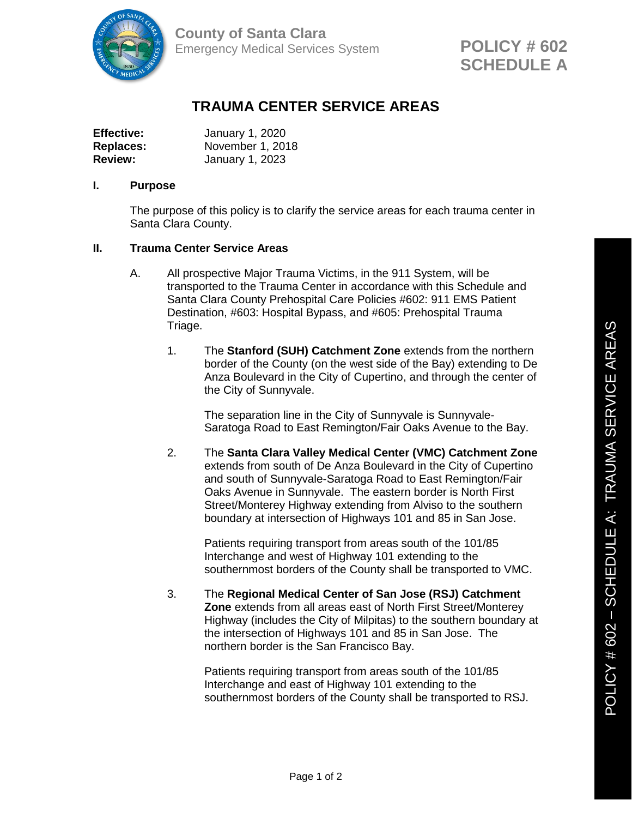

**County of Santa Clara** Emergency Medical Services System

## **TRAUMA CENTER SERVICE AREAS**

| <b>Effective:</b> | January 1, 2020  |
|-------------------|------------------|
| <b>Replaces:</b>  | November 1, 2018 |
| <b>Review:</b>    | January 1, 2023  |

## **I. Purpose**

The purpose of this policy is to clarify the service areas for each trauma center in Santa Clara County.

## **II. Trauma Center Service Areas**

- A. All prospective Major Trauma Victims, in the 911 System, will be transported to the Trauma Center in accordance with this Schedule and Santa Clara County Prehospital Care Policies #602: 911 EMS Patient Destination, #603: Hospital Bypass, and #605: Prehospital Trauma Triage.
	- 1. The **Stanford (SUH) Catchment Zone** extends from the northern border of the County (on the west side of the Bay) extending to De Anza Boulevard in the City of Cupertino, and through the center of the City of Sunnyvale.

The separation line in the City of Sunnyvale is Sunnyvale-Saratoga Road to East Remington/Fair Oaks Avenue to the Bay.

2. The **Santa Clara Valley Medical Center (VMC) Catchment Zone** extends from south of De Anza Boulevard in the City of Cupertino and south of Sunnyvale-Saratoga Road to East Remington/Fair Oaks Avenue in Sunnyvale. The eastern border is North First Street/Monterey Highway extending from Alviso to the southern boundary at intersection of Highways 101 and 85 in San Jose.

> Patients requiring transport from areas south of the 101/85 Interchange and west of Highway 101 extending to the southernmost borders of the County shall be transported to VMC.

3. The **Regional Medical Center of San Jose (RSJ) Catchment Zone** extends from all areas east of North First Street/Monterey Highway (includes the City of Milpitas) to the southern boundary at the intersection of Highways 101 and 85 in San Jose. The northern border is the San Francisco Bay.

> Patients requiring transport from areas south of the 101/85 Interchange and east of Highway 101 extending to the southernmost borders of the County shall be transported to RSJ.